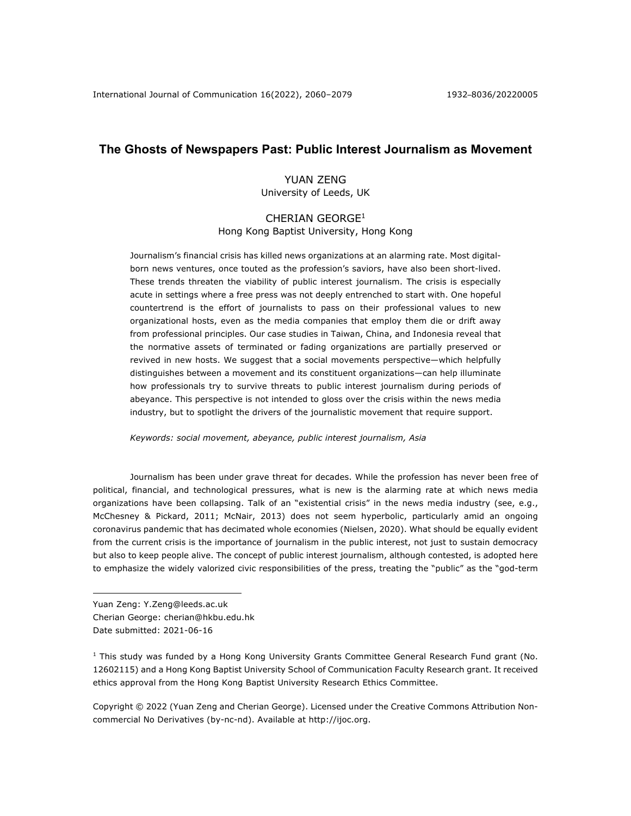# **The Ghosts of Newspapers Past: Public Interest Journalism as Movement**

## YUAN ZENG University of Leeds, UK

## CHERIAN GEORGE1

Hong Kong Baptist University, Hong Kong

Journalism's financial crisis has killed news organizations at an alarming rate. Most digitalborn news ventures, once touted as the profession's saviors, have also been short-lived. These trends threaten the viability of public interest journalism. The crisis is especially acute in settings where a free press was not deeply entrenched to start with. One hopeful countertrend is the effort of journalists to pass on their professional values to new organizational hosts, even as the media companies that employ them die or drift away from professional principles. Our case studies in Taiwan, China, and Indonesia reveal that the normative assets of terminated or fading organizations are partially preserved or revived in new hosts. We suggest that a social movements perspective—which helpfully distinguishes between a movement and its constituent organizations—can help illuminate how professionals try to survive threats to public interest journalism during periods of abeyance. This perspective is not intended to gloss over the crisis within the news media industry, but to spotlight the drivers of the journalistic movement that require support.

*Keywords: social movement, abeyance, public interest journalism, Asia*

Journalism has been under grave threat for decades. While the profession has never been free of political, financial, and technological pressures, what is new is the alarming rate at which news media organizations have been collapsing. Talk of an "existential crisis" in the news media industry (see, e.g., McChesney & Pickard, 2011; McNair, 2013) does not seem hyperbolic, particularly amid an ongoing coronavirus pandemic that has decimated whole economies (Nielsen, 2020). What should be equally evident from the current crisis is the importance of journalism in the public interest, not just to sustain democracy but also to keep people alive. The concept of public interest journalism, although contested, is adopted here to emphasize the widely valorized civic responsibilities of the press, treating the "public" as the "god-term

- Yuan Zeng: Y.Zeng@leeds.ac.uk
- Cherian George: cherian@hkbu.edu.hk

 $1$  This study was funded by a Hong Kong University Grants Committee General Research Fund grant (No. 12602115) and a Hong Kong Baptist University School of Communication Faculty Research grant. It received ethics approval from the Hong Kong Baptist University Research Ethics Committee.

Copyright © 2022 (Yuan Zeng and Cherian George). Licensed under the Creative Commons Attribution Noncommercial No Derivatives (by-nc-nd). Available at http://ijoc.org.

Date submitted: 2021-06-16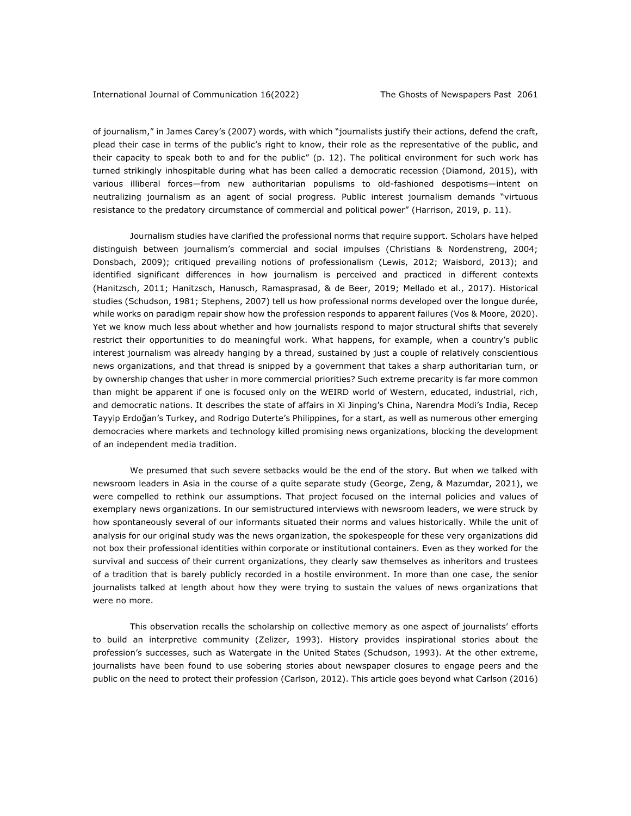of journalism," in James Carey's (2007) words, with which "journalists justify their actions, defend the craft, plead their case in terms of the public's right to know, their role as the representative of the public, and their capacity to speak both to and for the public" (p. 12). The political environment for such work has turned strikingly inhospitable during what has been called a democratic recession (Diamond, 2015), with various illiberal forces—from new authoritarian populisms to old-fashioned despotisms—intent on neutralizing journalism as an agent of social progress. Public interest journalism demands "virtuous resistance to the predatory circumstance of commercial and political power" (Harrison, 2019, p. 11).

Journalism studies have clarified the professional norms that require support. Scholars have helped distinguish between journalism's commercial and social impulses (Christians & Nordenstreng, 2004; Donsbach, 2009); critiqued prevailing notions of professionalism (Lewis, 2012; Waisbord, 2013); and identified significant differences in how journalism is perceived and practiced in different contexts (Hanitzsch, 2011; Hanitzsch, Hanusch, Ramasprasad, & de Beer, 2019; Mellado et al., 2017). Historical studies (Schudson, 1981; Stephens, 2007) tell us how professional norms developed over the longue durée, while works on paradigm repair show how the profession responds to apparent failures (Vos & Moore, 2020). Yet we know much less about whether and how journalists respond to major structural shifts that severely restrict their opportunities to do meaningful work. What happens, for example, when a country's public interest journalism was already hanging by a thread, sustained by just a couple of relatively conscientious news organizations, and that thread is snipped by a government that takes a sharp authoritarian turn, or by ownership changes that usher in more commercial priorities? Such extreme precarity is far more common than might be apparent if one is focused only on the WEIRD world of Western, educated, industrial, rich, and democratic nations. It describes the state of affairs in Xi Jinping's China, Narendra Modi's India, Recep Tayyip Erdoğan's Turkey, and Rodrigo Duterte's Philippines, for a start, as well as numerous other emerging democracies where markets and technology killed promising news organizations, blocking the development of an independent media tradition.

We presumed that such severe setbacks would be the end of the story. But when we talked with newsroom leaders in Asia in the course of a quite separate study (George, Zeng, & Mazumdar, 2021), we were compelled to rethink our assumptions. That project focused on the internal policies and values of exemplary news organizations. In our semistructured interviews with newsroom leaders, we were struck by how spontaneously several of our informants situated their norms and values historically. While the unit of analysis for our original study was the news organization, the spokespeople for these very organizations did not box their professional identities within corporate or institutional containers. Even as they worked for the survival and success of their current organizations, they clearly saw themselves as inheritors and trustees of a tradition that is barely publicly recorded in a hostile environment. In more than one case, the senior journalists talked at length about how they were trying to sustain the values of news organizations that were no more.

This observation recalls the scholarship on collective memory as one aspect of journalists' efforts to build an interpretive community (Zelizer, 1993). History provides inspirational stories about the profession's successes, such as Watergate in the United States (Schudson, 1993). At the other extreme, journalists have been found to use sobering stories about newspaper closures to engage peers and the public on the need to protect their profession (Carlson, 2012). This article goes beyond what Carlson (2016)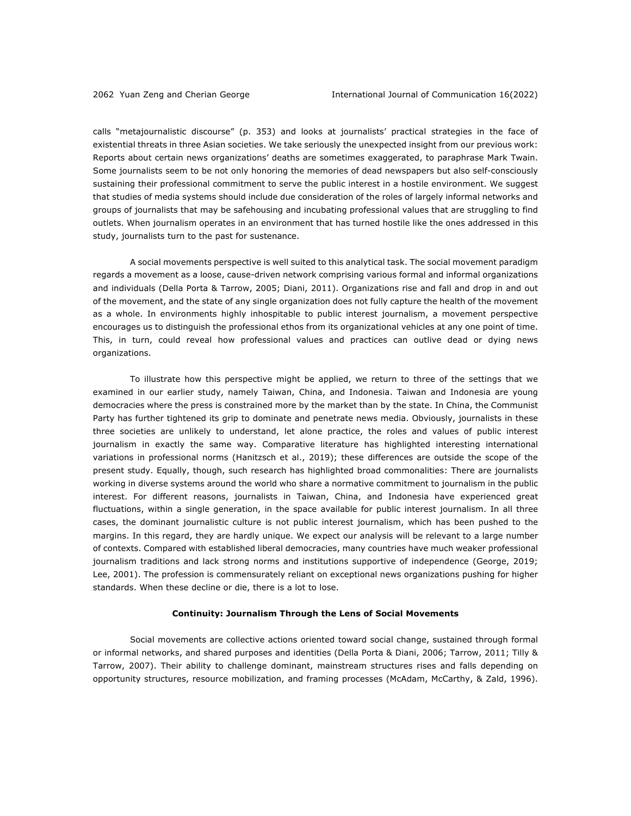calls "metajournalistic discourse" (p. 353) and looks at journalists' practical strategies in the face of existential threats in three Asian societies. We take seriously the unexpected insight from our previous work: Reports about certain news organizations' deaths are sometimes exaggerated, to paraphrase Mark Twain. Some journalists seem to be not only honoring the memories of dead newspapers but also self-consciously sustaining their professional commitment to serve the public interest in a hostile environment. We suggest that studies of media systems should include due consideration of the roles of largely informal networks and groups of journalists that may be safehousing and incubating professional values that are struggling to find outlets. When journalism operates in an environment that has turned hostile like the ones addressed in this study, journalists turn to the past for sustenance.

A social movements perspective is well suited to this analytical task. The social movement paradigm regards a movement as a loose, cause-driven network comprising various formal and informal organizations and individuals (Della Porta & Tarrow, 2005; Diani, 2011). Organizations rise and fall and drop in and out of the movement, and the state of any single organization does not fully capture the health of the movement as a whole. In environments highly inhospitable to public interest journalism, a movement perspective encourages us to distinguish the professional ethos from its organizational vehicles at any one point of time. This, in turn, could reveal how professional values and practices can outlive dead or dying news organizations.

To illustrate how this perspective might be applied, we return to three of the settings that we examined in our earlier study, namely Taiwan, China, and Indonesia. Taiwan and Indonesia are young democracies where the press is constrained more by the market than by the state. In China, the Communist Party has further tightened its grip to dominate and penetrate news media. Obviously, journalists in these three societies are unlikely to understand, let alone practice, the roles and values of public interest journalism in exactly the same way. Comparative literature has highlighted interesting international variations in professional norms (Hanitzsch et al., 2019); these differences are outside the scope of the present study. Equally, though, such research has highlighted broad commonalities: There are journalists working in diverse systems around the world who share a normative commitment to journalism in the public interest. For different reasons, journalists in Taiwan, China, and Indonesia have experienced great fluctuations, within a single generation, in the space available for public interest journalism. In all three cases, the dominant journalistic culture is not public interest journalism, which has been pushed to the margins. In this regard, they are hardly unique. We expect our analysis will be relevant to a large number of contexts. Compared with established liberal democracies, many countries have much weaker professional journalism traditions and lack strong norms and institutions supportive of independence (George, 2019; Lee, 2001). The profession is commensurately reliant on exceptional news organizations pushing for higher standards. When these decline or die, there is a lot to lose.

### **Continuity: Journalism Through the Lens of Social Movements**

Social movements are collective actions oriented toward social change, sustained through formal or informal networks, and shared purposes and identities (Della Porta & Diani, 2006; Tarrow, 2011; Tilly & Tarrow, 2007). Their ability to challenge dominant, mainstream structures rises and falls depending on opportunity structures, resource mobilization, and framing processes (McAdam, McCarthy, & Zald, 1996).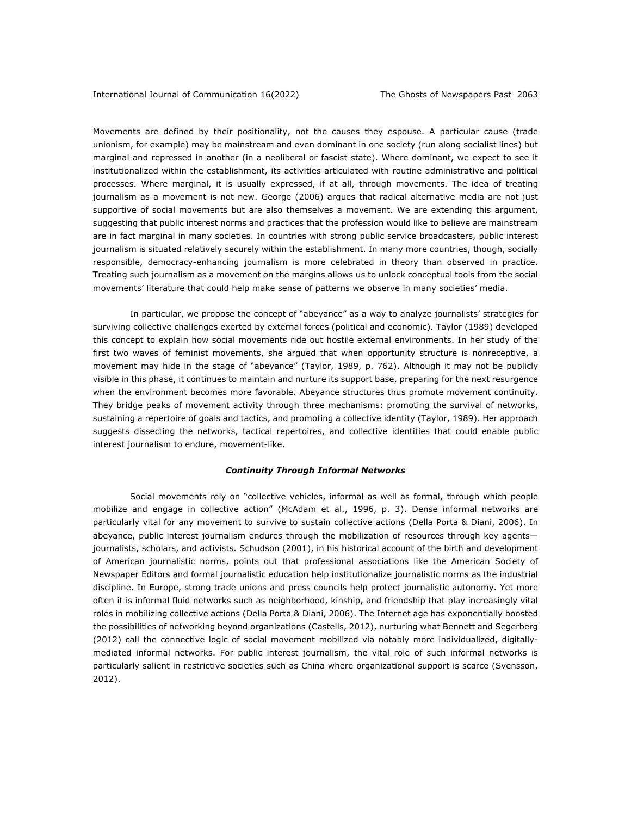Movements are defined by their positionality, not the causes they espouse. A particular cause (trade unionism, for example) may be mainstream and even dominant in one society (run along socialist lines) but marginal and repressed in another (in a neoliberal or fascist state). Where dominant, we expect to see it institutionalized within the establishment, its activities articulated with routine administrative and political processes. Where marginal, it is usually expressed, if at all, through movements. The idea of treating journalism as a movement is not new. George (2006) argues that radical alternative media are not just supportive of social movements but are also themselves a movement. We are extending this argument, suggesting that public interest norms and practices that the profession would like to believe are mainstream are in fact marginal in many societies. In countries with strong public service broadcasters, public interest journalism is situated relatively securely within the establishment. In many more countries, though, socially responsible, democracy-enhancing journalism is more celebrated in theory than observed in practice. Treating such journalism as a movement on the margins allows us to unlock conceptual tools from the social movements' literature that could help make sense of patterns we observe in many societies' media.

In particular, we propose the concept of "abeyance" as a way to analyze journalists' strategies for surviving collective challenges exerted by external forces (political and economic). Taylor (1989) developed this concept to explain how social movements ride out hostile external environments. In her study of the first two waves of feminist movements, she argued that when opportunity structure is nonreceptive, a movement may hide in the stage of "abeyance" (Taylor, 1989, p. 762). Although it may not be publicly visible in this phase, it continues to maintain and nurture its support base, preparing for the next resurgence when the environment becomes more favorable. Abeyance structures thus promote movement continuity. They bridge peaks of movement activity through three mechanisms: promoting the survival of networks, sustaining a repertoire of goals and tactics, and promoting a collective identity (Taylor, 1989). Her approach suggests dissecting the networks, tactical repertoires, and collective identities that could enable public interest journalism to endure, movement-like.

## *Continuity Through Informal Networks*

Social movements rely on "collective vehicles, informal as well as formal, through which people mobilize and engage in collective action" (McAdam et al., 1996, p. 3). Dense informal networks are particularly vital for any movement to survive to sustain collective actions (Della Porta & Diani, 2006). In abeyance, public interest journalism endures through the mobilization of resources through key agents journalists, scholars, and activists. Schudson (2001), in his historical account of the birth and development of American journalistic norms, points out that professional associations like the American Society of Newspaper Editors and formal journalistic education help institutionalize journalistic norms as the industrial discipline. In Europe, strong trade unions and press councils help protect journalistic autonomy. Yet more often it is informal fluid networks such as neighborhood, kinship, and friendship that play increasingly vital roles in mobilizing collective actions (Della Porta & Diani, 2006). The Internet age has exponentially boosted the possibilities of networking beyond organizations (Castells, 2012), nurturing what Bennett and Segerberg (2012) call the connective logic of social movement mobilized via notably more individualized, digitallymediated informal networks. For public interest journalism, the vital role of such informal networks is particularly salient in restrictive societies such as China where organizational support is scarce (Svensson, 2012).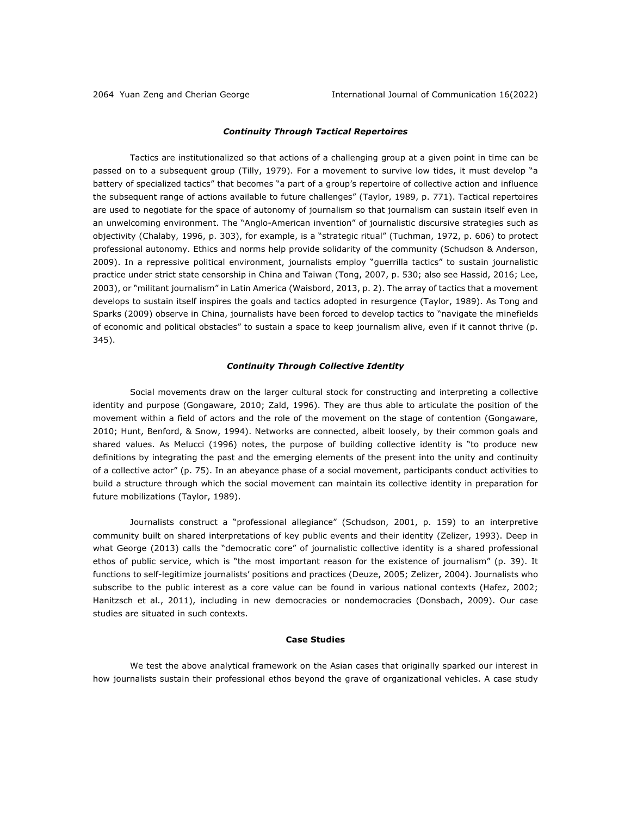## *Continuity Through Tactical Repertoires*

Tactics are institutionalized so that actions of a challenging group at a given point in time can be passed on to a subsequent group (Tilly, 1979). For a movement to survive low tides, it must develop "a battery of specialized tactics" that becomes "a part of a group's repertoire of collective action and influence the subsequent range of actions available to future challenges" (Taylor, 1989, p. 771). Tactical repertoires are used to negotiate for the space of autonomy of journalism so that journalism can sustain itself even in an unwelcoming environment. The "Anglo-American invention" of journalistic discursive strategies such as objectivity (Chalaby, 1996, p. 303), for example, is a "strategic ritual" (Tuchman, 1972, p. 606) to protect professional autonomy. Ethics and norms help provide solidarity of the community (Schudson & Anderson, 2009). In a repressive political environment, journalists employ "guerrilla tactics" to sustain journalistic practice under strict state censorship in China and Taiwan (Tong, 2007, p. 530; also see Hassid, 2016; Lee, 2003), or "militant journalism" in Latin America (Waisbord, 2013, p. 2). The array of tactics that a movement develops to sustain itself inspires the goals and tactics adopted in resurgence (Taylor, 1989). As Tong and Sparks (2009) observe in China, journalists have been forced to develop tactics to "navigate the minefields of economic and political obstacles" to sustain a space to keep journalism alive, even if it cannot thrive (p. 345).

### *Continuity Through Collective Identity*

Social movements draw on the larger cultural stock for constructing and interpreting a collective identity and purpose (Gongaware, 2010; Zald, 1996). They are thus able to articulate the position of the movement within a field of actors and the role of the movement on the stage of contention (Gongaware, 2010; Hunt, Benford, & Snow, 1994). Networks are connected, albeit loosely, by their common goals and shared values. As Melucci (1996) notes, the purpose of building collective identity is "to produce new definitions by integrating the past and the emerging elements of the present into the unity and continuity of a collective actor" (p. 75). In an abeyance phase of a social movement, participants conduct activities to build a structure through which the social movement can maintain its collective identity in preparation for future mobilizations (Taylor, 1989).

Journalists construct a "professional allegiance" (Schudson, 2001, p. 159) to an interpretive community built on shared interpretations of key public events and their identity (Zelizer, 1993). Deep in what George (2013) calls the "democratic core" of journalistic collective identity is a shared professional ethos of public service, which is "the most important reason for the existence of journalism" (p. 39). It functions to self-legitimize journalists' positions and practices (Deuze, 2005; Zelizer, 2004). Journalists who subscribe to the public interest as a core value can be found in various national contexts (Hafez, 2002; Hanitzsch et al., 2011), including in new democracies or nondemocracies (Donsbach, 2009). Our case studies are situated in such contexts.

## **Case Studies**

We test the above analytical framework on the Asian cases that originally sparked our interest in how journalists sustain their professional ethos beyond the grave of organizational vehicles. A case study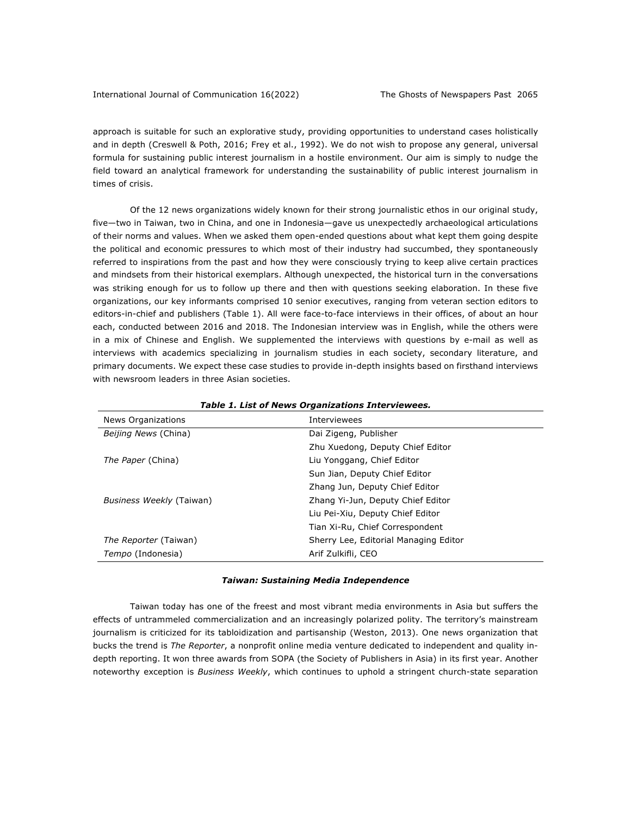approach is suitable for such an explorative study, providing opportunities to understand cases holistically and in depth (Creswell & Poth, 2016; Frey et al., 1992). We do not wish to propose any general, universal formula for sustaining public interest journalism in a hostile environment. Our aim is simply to nudge the field toward an analytical framework for understanding the sustainability of public interest journalism in times of crisis.

Of the 12 news organizations widely known for their strong journalistic ethos in our original study, five—two in Taiwan, two in China, and one in Indonesia—gave us unexpectedly archaeological articulations of their norms and values. When we asked them open-ended questions about what kept them going despite the political and economic pressures to which most of their industry had succumbed, they spontaneously referred to inspirations from the past and how they were consciously trying to keep alive certain practices and mindsets from their historical exemplars. Although unexpected, the historical turn in the conversations was striking enough for us to follow up there and then with questions seeking elaboration. In these five organizations, our key informants comprised 10 senior executives, ranging from veteran section editors to editors-in-chief and publishers (Table 1). All were face-to-face interviews in their offices, of about an hour each, conducted between 2016 and 2018. The Indonesian interview was in English, while the others were in a mix of Chinese and English. We supplemented the interviews with questions by e-mail as well as interviews with academics specializing in journalism studies in each society, secondary literature, and primary documents. We expect these case studies to provide in-depth insights based on firsthand interviews with newsroom leaders in three Asian societies.

| News Organizations           | Interviewees                          |
|------------------------------|---------------------------------------|
| Beijing News (China)         | Dai Zigeng, Publisher                 |
|                              | Zhu Xuedong, Deputy Chief Editor      |
| The Paper (China)            | Liu Yonggang, Chief Editor            |
|                              | Sun Jian, Deputy Chief Editor         |
|                              | Zhang Jun, Deputy Chief Editor        |
| Business Weekly (Taiwan)     | Zhang Yi-Jun, Deputy Chief Editor     |
|                              | Liu Pei-Xiu, Deputy Chief Editor      |
|                              | Tian Xi-Ru, Chief Correspondent       |
| <i>The Reporter</i> (Taiwan) | Sherry Lee, Editorial Managing Editor |
| Tempo (Indonesia)            | Arif Zulkifli, CEO                    |
|                              |                                       |

## *Table 1. List of News Organizations Interviewees.*

## *Taiwan: Sustaining Media Independence*

Taiwan today has one of the freest and most vibrant media environments in Asia but suffers the effects of untrammeled commercialization and an increasingly polarized polity. The territory's mainstream journalism is criticized for its tabloidization and partisanship (Weston, 2013). One news organization that bucks the trend is *The Reporter*, a nonprofit online media venture dedicated to independent and quality indepth reporting. It won three awards from SOPA (the Society of Publishers in Asia) in its first year. Another noteworthy exception is *Business Weekly*, which continues to uphold a stringent church-state separation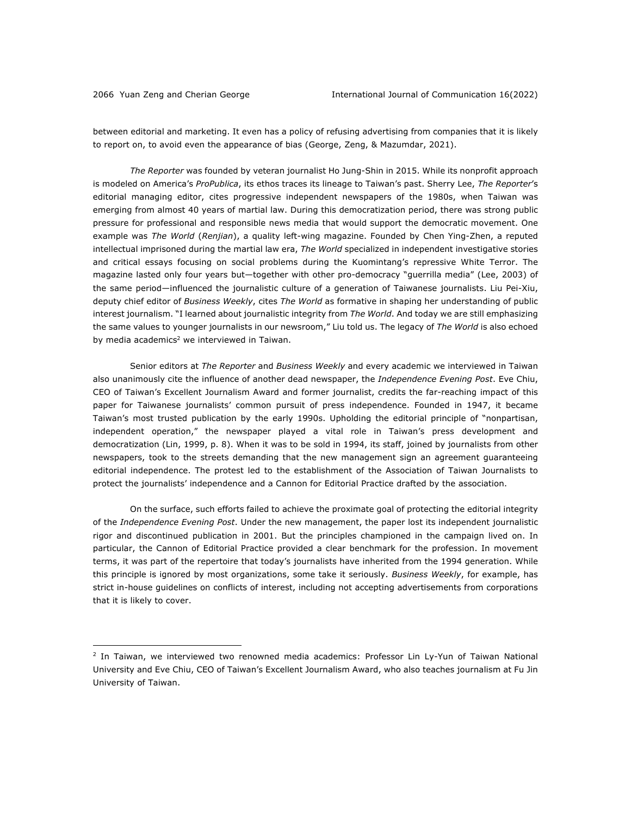between editorial and marketing. It even has a policy of refusing advertising from companies that it is likely to report on, to avoid even the appearance of bias (George, Zeng, & Mazumdar, 2021).

*The Reporter* was founded by veteran journalist Ho Jung-Shin in 2015. While its nonprofit approach is modeled on America's *ProPublica*, its ethos traces its lineage to Taiwan's past. Sherry Lee, *The Reporter*'s editorial managing editor, cites progressive independent newspapers of the 1980s, when Taiwan was emerging from almost 40 years of martial law. During this democratization period, there was strong public pressure for professional and responsible news media that would support the democratic movement. One example was *The World* (*Renjian*), a quality left-wing magazine. Founded by Chen Ying-Zhen, a reputed intellectual imprisoned during the martial law era, *The World* specialized in independent investigative stories and critical essays focusing on social problems during the Kuomintang's repressive White Terror. The magazine lasted only four years but—together with other pro-democracy "guerrilla media" (Lee, 2003) of the same period—influenced the journalistic culture of a generation of Taiwanese journalists. Liu Pei-Xiu, deputy chief editor of *Business Weekly*, cites *The World* as formative in shaping her understanding of public interest journalism. "I learned about journalistic integrity from *The World*. And today we are still emphasizing the same values to younger journalists in our newsroom," Liu told us. The legacy of *The World* is also echoed by media academics<sup>2</sup> we interviewed in Taiwan.

Senior editors at *The Reporter* and *Business Weekly* and every academic we interviewed in Taiwan also unanimously cite the influence of another dead newspaper, the *Independence Evening Post*. Eve Chiu, CEO of Taiwan's Excellent Journalism Award and former journalist, credits the far-reaching impact of this paper for Taiwanese journalists' common pursuit of press independence. Founded in 1947, it became Taiwan's most trusted publication by the early 1990s. Upholding the editorial principle of "nonpartisan, independent operation," the newspaper played a vital role in Taiwan's press development and democratization (Lin, 1999, p. 8). When it was to be sold in 1994, its staff, joined by journalists from other newspapers, took to the streets demanding that the new management sign an agreement guaranteeing editorial independence. The protest led to the establishment of the Association of Taiwan Journalists to protect the journalists' independence and a Cannon for Editorial Practice drafted by the association.

On the surface, such efforts failed to achieve the proximate goal of protecting the editorial integrity of the *Independence Evening Post*. Under the new management, the paper lost its independent journalistic rigor and discontinued publication in 2001. But the principles championed in the campaign lived on. In particular, the Cannon of Editorial Practice provided a clear benchmark for the profession. In movement terms, it was part of the repertoire that today's journalists have inherited from the 1994 generation. While this principle is ignored by most organizations, some take it seriously. *Business Weekly*, for example, has strict in-house guidelines on conflicts of interest, including not accepting advertisements from corporations that it is likely to cover.

<sup>&</sup>lt;sup>2</sup> In Taiwan, we interviewed two renowned media academics: Professor Lin Ly-Yun of Taiwan National University and Eve Chiu, CEO of Taiwan's Excellent Journalism Award, who also teaches journalism at Fu Jin University of Taiwan.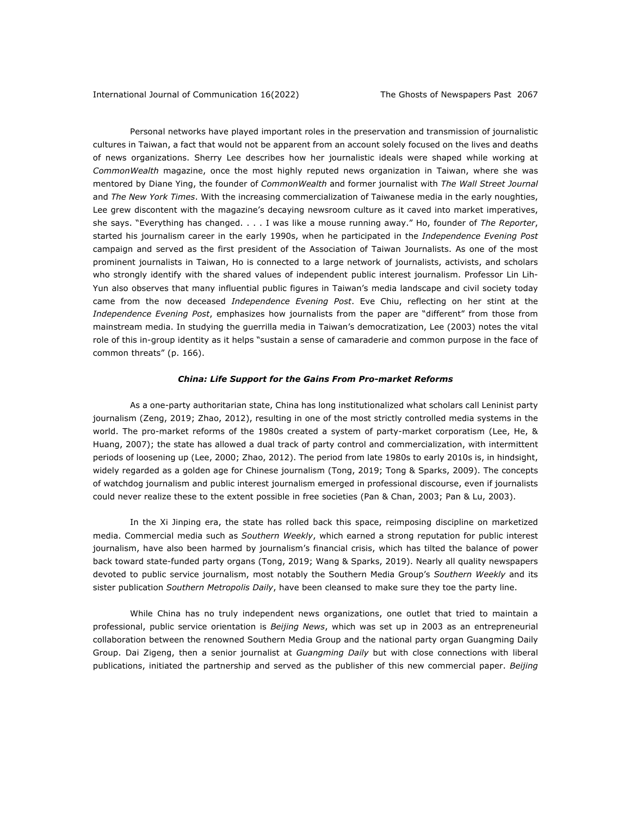Personal networks have played important roles in the preservation and transmission of journalistic cultures in Taiwan, a fact that would not be apparent from an account solely focused on the lives and deaths of news organizations. Sherry Lee describes how her journalistic ideals were shaped while working at *CommonWealth* magazine, once the most highly reputed news organization in Taiwan, where she was mentored by Diane Ying, the founder of *CommonWealth* and former journalist with *The Wall Street Journal*  and *The New York Times*. With the increasing commercialization of Taiwanese media in the early noughties, Lee grew discontent with the magazine's decaying newsroom culture as it caved into market imperatives, she says. "Everything has changed. . . . I was like a mouse running away." Ho, founder of *The Reporter*, started his journalism career in the early 1990s, when he participated in the *Independence Evening Post* campaign and served as the first president of the Association of Taiwan Journalists. As one of the most prominent journalists in Taiwan, Ho is connected to a large network of journalists, activists, and scholars who strongly identify with the shared values of independent public interest journalism. Professor Lin Lih-Yun also observes that many influential public figures in Taiwan's media landscape and civil society today came from the now deceased *Independence Evening Post*. Eve Chiu, reflecting on her stint at the *Independence Evening Post*, emphasizes how journalists from the paper are "different" from those from mainstream media. In studying the guerrilla media in Taiwan's democratization, Lee (2003) notes the vital role of this in-group identity as it helps "sustain a sense of camaraderie and common purpose in the face of common threats" (p. 166).

## *China: Life Support for the Gains From Pro-market Reforms*

As a one-party authoritarian state, China has long institutionalized what scholars call Leninist party journalism (Zeng, 2019; Zhao, 2012), resulting in one of the most strictly controlled media systems in the world. The pro-market reforms of the 1980s created a system of party-market corporatism (Lee, He, & Huang, 2007); the state has allowed a dual track of party control and commercialization, with intermittent periods of loosening up (Lee, 2000; Zhao, 2012). The period from late 1980s to early 2010s is, in hindsight, widely regarded as a golden age for Chinese journalism (Tong, 2019; Tong & Sparks, 2009). The concepts of watchdog journalism and public interest journalism emerged in professional discourse, even if journalists could never realize these to the extent possible in free societies (Pan & Chan, 2003; Pan & Lu, 2003).

In the Xi Jinping era, the state has rolled back this space, reimposing discipline on marketized media. Commercial media such as *Southern Weekly*, which earned a strong reputation for public interest journalism, have also been harmed by journalism's financial crisis, which has tilted the balance of power back toward state-funded party organs (Tong, 2019; Wang & Sparks, 2019). Nearly all quality newspapers devoted to public service journalism, most notably the Southern Media Group's *Southern Weekly* and its sister publication *Southern Metropolis Daily*, have been cleansed to make sure they toe the party line.

While China has no truly independent news organizations, one outlet that tried to maintain a professional, public service orientation is *Beijing News*, which was set up in 2003 as an entrepreneurial collaboration between the renowned Southern Media Group and the national party organ Guangming Daily Group. Dai Zigeng, then a senior journalist at *Guangming Daily* but with close connections with liberal publications, initiated the partnership and served as the publisher of this new commercial paper. *Beijing*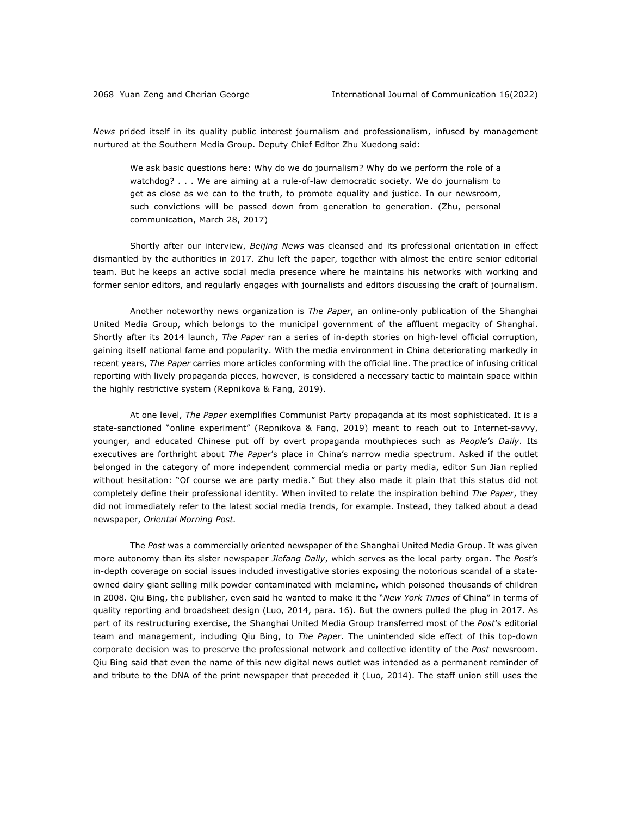*News* prided itself in its quality public interest journalism and professionalism, infused by management nurtured at the Southern Media Group. Deputy Chief Editor Zhu Xuedong said:

We ask basic questions here: Why do we do journalism? Why do we perform the role of a watchdog? . . . We are aiming at a rule-of-law democratic society. We do journalism to get as close as we can to the truth, to promote equality and justice. In our newsroom, such convictions will be passed down from generation to generation. (Zhu, personal communication, March 28, 2017)

Shortly after our interview, *Beijing News* was cleansed and its professional orientation in effect dismantled by the authorities in 2017. Zhu left the paper, together with almost the entire senior editorial team. But he keeps an active social media presence where he maintains his networks with working and former senior editors, and regularly engages with journalists and editors discussing the craft of journalism.

Another noteworthy news organization is *The Paper*, an online-only publication of the Shanghai United Media Group, which belongs to the municipal government of the affluent megacity of Shanghai. Shortly after its 2014 launch, *The Paper* ran a series of in-depth stories on high-level official corruption, gaining itself national fame and popularity. With the media environment in China deteriorating markedly in recent years, *The Paper* carries more articles conforming with the official line. The practice of infusing critical reporting with lively propaganda pieces, however, is considered a necessary tactic to maintain space within the highly restrictive system (Repnikova & Fang, 2019).

At one level, *The Paper* exemplifies Communist Party propaganda at its most sophisticated. It is a state-sanctioned "online experiment" (Repnikova & Fang, 2019) meant to reach out to Internet-savvy, younger, and educated Chinese put off by overt propaganda mouthpieces such as *People's Daily*. Its executives are forthright about *The Paper*'s place in China's narrow media spectrum. Asked if the outlet belonged in the category of more independent commercial media or party media, editor Sun Jian replied without hesitation: "Of course we are party media." But they also made it plain that this status did not completely define their professional identity. When invited to relate the inspiration behind *The Paper*, they did not immediately refer to the latest social media trends, for example. Instead, they talked about a dead newspaper, *Oriental Morning Post.*

The *Post* was a commercially oriented newspaper of the Shanghai United Media Group. It was given more autonomy than its sister newspaper *Jiefang Daily*, which serves as the local party organ. The *Post*'s in-depth coverage on social issues included investigative stories exposing the notorious scandal of a stateowned dairy giant selling milk powder contaminated with melamine, which poisoned thousands of children in 2008. Qiu Bing, the publisher, even said he wanted to make it the "*New York Times* of China" in terms of quality reporting and broadsheet design (Luo, 2014, para. 16). But the owners pulled the plug in 2017. As part of its restructuring exercise, the Shanghai United Media Group transferred most of the *Post*'s editorial team and management, including Qiu Bing, to *The Paper*. The unintended side effect of this top-down corporate decision was to preserve the professional network and collective identity of the *Post* newsroom. Qiu Bing said that even the name of this new digital news outlet was intended as a permanent reminder of and tribute to the DNA of the print newspaper that preceded it (Luo, 2014). The staff union still uses the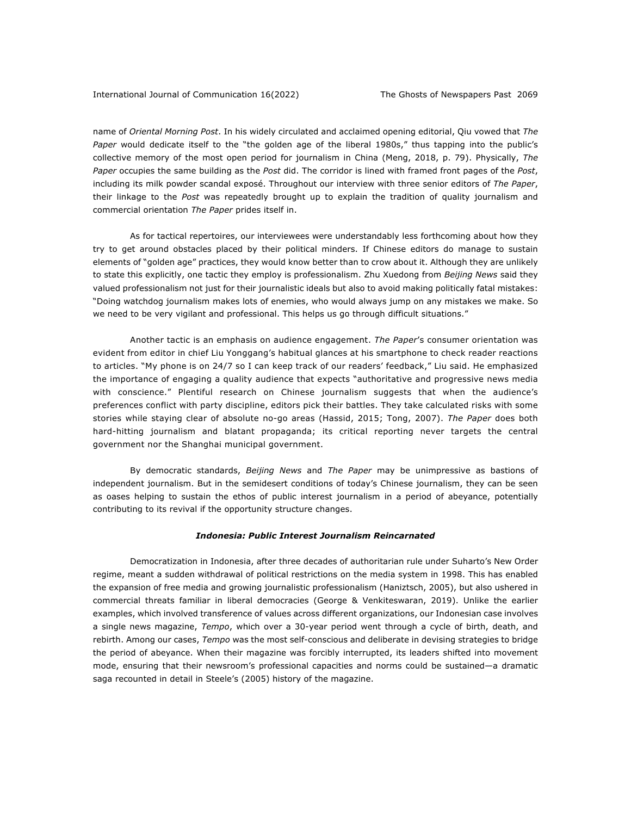name of *Oriental Morning Post*. In his widely circulated and acclaimed opening editorial, Qiu vowed that *The Paper* would dedicate itself to the "the golden age of the liberal 1980s," thus tapping into the public's collective memory of the most open period for journalism in China (Meng, 2018, p. 79). Physically, *The Paper* occupies the same building as the *Post* did. The corridor is lined with framed front pages of the *Post*, including its milk powder scandal exposé. Throughout our interview with three senior editors of *The Paper*, their linkage to the *Post* was repeatedly brought up to explain the tradition of quality journalism and commercial orientation *The Paper* prides itself in.

As for tactical repertoires, our interviewees were understandably less forthcoming about how they try to get around obstacles placed by their political minders. If Chinese editors do manage to sustain elements of "golden age" practices, they would know better than to crow about it. Although they are unlikely to state this explicitly, one tactic they employ is professionalism. Zhu Xuedong from *Beijing News* said they valued professionalism not just for their journalistic ideals but also to avoid making politically fatal mistakes: "Doing watchdog journalism makes lots of enemies, who would always jump on any mistakes we make. So we need to be very vigilant and professional. This helps us go through difficult situations."

Another tactic is an emphasis on audience engagement. *The Paper*'s consumer orientation was evident from editor in chief Liu Yonggang's habitual glances at his smartphone to check reader reactions to articles. "My phone is on 24/7 so I can keep track of our readers' feedback," Liu said. He emphasized the importance of engaging a quality audience that expects "authoritative and progressive news media with conscience." Plentiful research on Chinese journalism suggests that when the audience's preferences conflict with party discipline, editors pick their battles. They take calculated risks with some stories while staying clear of absolute no-go areas (Hassid, 2015; Tong, 2007). *The Paper* does both hard-hitting journalism and blatant propaganda; its critical reporting never targets the central government nor the Shanghai municipal government.

By democratic standards, *Beijing News* and *The Paper* may be unimpressive as bastions of independent journalism. But in the semidesert conditions of today's Chinese journalism, they can be seen as oases helping to sustain the ethos of public interest journalism in a period of abeyance, potentially contributing to its revival if the opportunity structure changes.

### *Indonesia: Public Interest Journalism Reincarnated*

Democratization in Indonesia, after three decades of authoritarian rule under Suharto's New Order regime, meant a sudden withdrawal of political restrictions on the media system in 1998. This has enabled the expansion of free media and growing journalistic professionalism (Haniztsch, 2005), but also ushered in commercial threats familiar in liberal democracies (George & Venkiteswaran, 2019). Unlike the earlier examples, which involved transference of values across different organizations, our Indonesian case involves a single news magazine, *Tempo*, which over a 30-year period went through a cycle of birth, death, and rebirth. Among our cases, *Tempo* was the most self-conscious and deliberate in devising strategies to bridge the period of abeyance. When their magazine was forcibly interrupted, its leaders shifted into movement mode, ensuring that their newsroom's professional capacities and norms could be sustained—a dramatic saga recounted in detail in Steele's (2005) history of the magazine.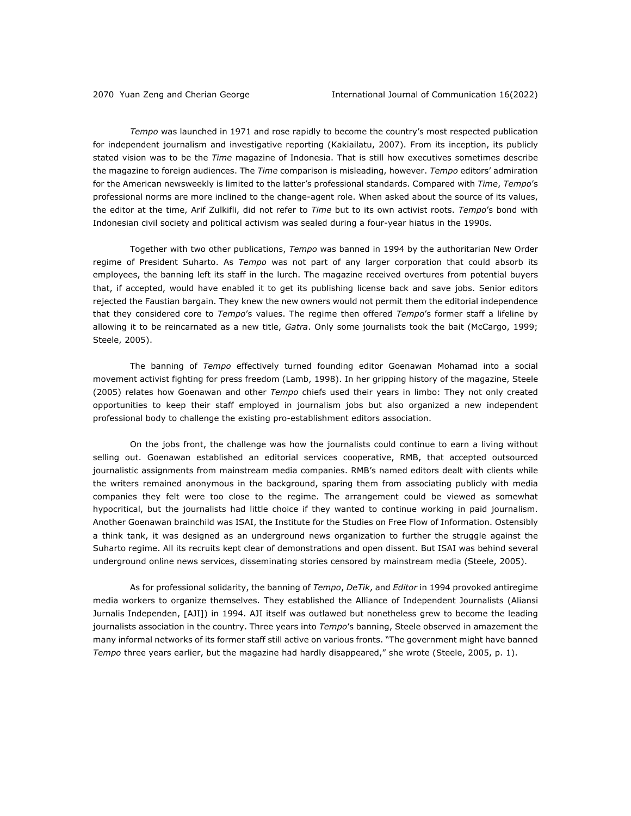*Tempo* was launched in 1971 and rose rapidly to become the country's most respected publication for independent journalism and investigative reporting (Kakiailatu, 2007). From its inception, its publicly stated vision was to be the *Time* magazine of Indonesia. That is still how executives sometimes describe the magazine to foreign audiences. The *Time* comparison is misleading, however. *Tempo* editors' admiration for the American newsweekly is limited to the latter's professional standards. Compared with *Time*, *Tempo*'s professional norms are more inclined to the change-agent role. When asked about the source of its values, the editor at the time, Arif Zulkifli, did not refer to *Time* but to its own activist roots. *Tempo*'s bond with Indonesian civil society and political activism was sealed during a four-year hiatus in the 1990s.

Together with two other publications, *Tempo* was banned in 1994 by the authoritarian New Order regime of President Suharto. As *Tempo* was not part of any larger corporation that could absorb its employees, the banning left its staff in the lurch. The magazine received overtures from potential buyers that, if accepted, would have enabled it to get its publishing license back and save jobs. Senior editors rejected the Faustian bargain. They knew the new owners would not permit them the editorial independence that they considered core to *Tempo*'s values. The regime then offered *Tempo*'s former staff a lifeline by allowing it to be reincarnated as a new title, *Gatra*. Only some journalists took the bait (McCargo, 1999; Steele, 2005).

The banning of *Tempo* effectively turned founding editor Goenawan Mohamad into a social movement activist fighting for press freedom (Lamb, 1998). In her gripping history of the magazine, Steele (2005) relates how Goenawan and other *Tempo* chiefs used their years in limbo: They not only created opportunities to keep their staff employed in journalism jobs but also organized a new independent professional body to challenge the existing pro-establishment editors association.

On the jobs front, the challenge was how the journalists could continue to earn a living without selling out. Goenawan established an editorial services cooperative, RMB, that accepted outsourced journalistic assignments from mainstream media companies. RMB's named editors dealt with clients while the writers remained anonymous in the background, sparing them from associating publicly with media companies they felt were too close to the regime. The arrangement could be viewed as somewhat hypocritical, but the journalists had little choice if they wanted to continue working in paid journalism. Another Goenawan brainchild was ISAI, the Institute for the Studies on Free Flow of Information. Ostensibly a think tank, it was designed as an underground news organization to further the struggle against the Suharto regime. All its recruits kept clear of demonstrations and open dissent. But ISAI was behind several underground online news services, disseminating stories censored by mainstream media (Steele, 2005).

As for professional solidarity, the banning of *Tempo*, *DeTik*, and *Editor* in 1994 provoked antiregime media workers to organize themselves. They established the Alliance of Independent Journalists (Aliansi Jurnalis Independen, [AJI]) in 1994. AJI itself was outlawed but nonetheless grew to become the leading journalists association in the country. Three years into *Tempo*'s banning, Steele observed in amazement the many informal networks of its former staff still active on various fronts. "The government might have banned *Tempo* three years earlier, but the magazine had hardly disappeared," she wrote (Steele, 2005, p. 1).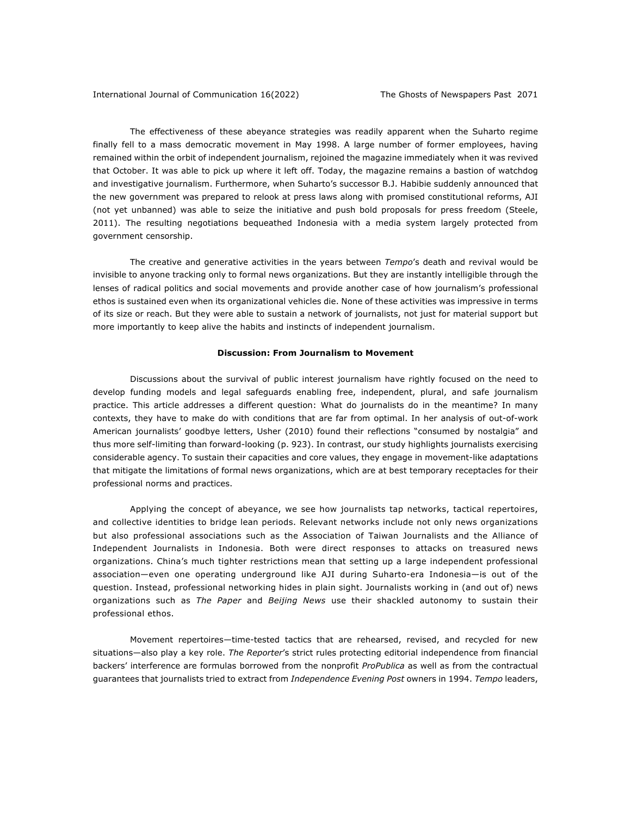The effectiveness of these abeyance strategies was readily apparent when the Suharto regime finally fell to a mass democratic movement in May 1998. A large number of former employees, having remained within the orbit of independent journalism, rejoined the magazine immediately when it was revived that October. It was able to pick up where it left off. Today, the magazine remains a bastion of watchdog and investigative journalism. Furthermore, when Suharto's successor B.J. Habibie suddenly announced that the new government was prepared to relook at press laws along with promised constitutional reforms, AJI (not yet unbanned) was able to seize the initiative and push bold proposals for press freedom (Steele, 2011). The resulting negotiations bequeathed Indonesia with a media system largely protected from government censorship.

The creative and generative activities in the years between *Tempo*'s death and revival would be invisible to anyone tracking only to formal news organizations. But they are instantly intelligible through the lenses of radical politics and social movements and provide another case of how journalism's professional ethos is sustained even when its organizational vehicles die. None of these activities was impressive in terms of its size or reach. But they were able to sustain a network of journalists, not just for material support but more importantly to keep alive the habits and instincts of independent journalism.

#### **Discussion: From Journalism to Movement**

Discussions about the survival of public interest journalism have rightly focused on the need to develop funding models and legal safeguards enabling free, independent, plural, and safe journalism practice. This article addresses a different question: What do journalists do in the meantime? In many contexts, they have to make do with conditions that are far from optimal. In her analysis of out-of-work American journalists' goodbye letters, Usher (2010) found their reflections "consumed by nostalgia" and thus more self-limiting than forward-looking (p. 923). In contrast, our study highlights journalists exercising considerable agency. To sustain their capacities and core values, they engage in movement-like adaptations that mitigate the limitations of formal news organizations, which are at best temporary receptacles for their professional norms and practices.

Applying the concept of abeyance, we see how journalists tap networks, tactical repertoires, and collective identities to bridge lean periods. Relevant networks include not only news organizations but also professional associations such as the Association of Taiwan Journalists and the Alliance of Independent Journalists in Indonesia. Both were direct responses to attacks on treasured news organizations. China's much tighter restrictions mean that setting up a large independent professional association—even one operating underground like AJI during Suharto-era Indonesia—is out of the question. Instead, professional networking hides in plain sight. Journalists working in (and out of) news organizations such as *The Paper* and *Beijing News* use their shackled autonomy to sustain their professional ethos.

Movement repertoires—time-tested tactics that are rehearsed, revised, and recycled for new situations—also play a key role. *The Reporter*'s strict rules protecting editorial independence from financial backers' interference are formulas borrowed from the nonprofit *ProPublica* as well as from the contractual guarantees that journalists tried to extract from *Independence Evening Post* owners in 1994. *Tempo* leaders,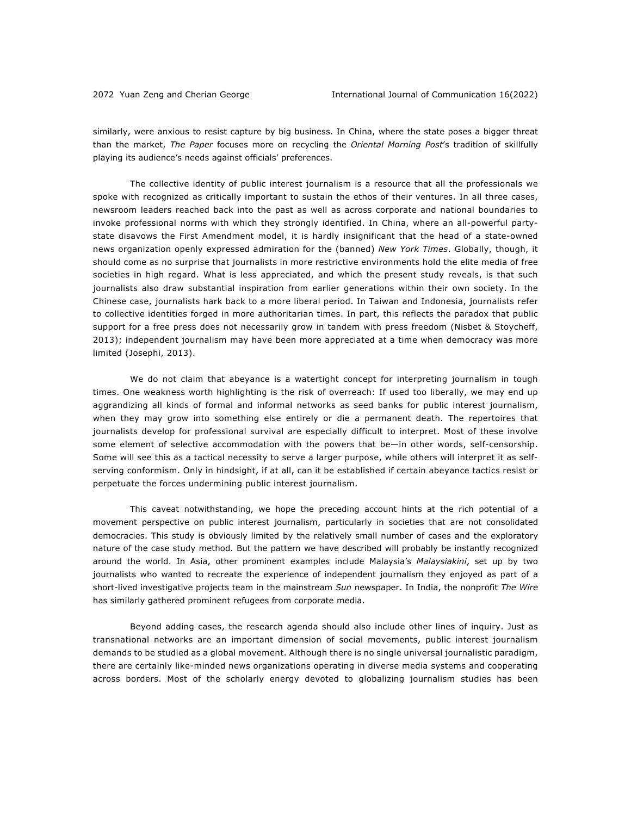similarly, were anxious to resist capture by big business. In China, where the state poses a bigger threat than the market, *The Paper* focuses more on recycling the *Oriental Morning Post*'s tradition of skillfully playing its audience's needs against officials' preferences.

The collective identity of public interest journalism is a resource that all the professionals we spoke with recognized as critically important to sustain the ethos of their ventures. In all three cases, newsroom leaders reached back into the past as well as across corporate and national boundaries to invoke professional norms with which they strongly identified. In China, where an all-powerful partystate disavows the First Amendment model, it is hardly insignificant that the head of a state-owned news organization openly expressed admiration for the (banned) *New York Times*. Globally, though, it should come as no surprise that journalists in more restrictive environments hold the elite media of free societies in high regard. What is less appreciated, and which the present study reveals, is that such journalists also draw substantial inspiration from earlier generations within their own society. In the Chinese case, journalists hark back to a more liberal period. In Taiwan and Indonesia, journalists refer to collective identities forged in more authoritarian times. In part, this reflects the paradox that public support for a free press does not necessarily grow in tandem with press freedom (Nisbet & Stoycheff, 2013); independent journalism may have been more appreciated at a time when democracy was more limited (Josephi, 2013).

We do not claim that abeyance is a watertight concept for interpreting journalism in tough times. One weakness worth highlighting is the risk of overreach: If used too liberally, we may end up aggrandizing all kinds of formal and informal networks as seed banks for public interest journalism, when they may grow into something else entirely or die a permanent death. The repertoires that journalists develop for professional survival are especially difficult to interpret. Most of these involve some element of selective accommodation with the powers that be—in other words, self-censorship. Some will see this as a tactical necessity to serve a larger purpose, while others will interpret it as selfserving conformism. Only in hindsight, if at all, can it be established if certain abeyance tactics resist or perpetuate the forces undermining public interest journalism.

This caveat notwithstanding, we hope the preceding account hints at the rich potential of a movement perspective on public interest journalism, particularly in societies that are not consolidated democracies. This study is obviously limited by the relatively small number of cases and the exploratory nature of the case study method. But the pattern we have described will probably be instantly recognized around the world. In Asia, other prominent examples include Malaysia's *Malaysiakini*, set up by two journalists who wanted to recreate the experience of independent journalism they enjoyed as part of a short-lived investigative projects team in the mainstream *Sun* newspaper. In India, the nonprofit *The Wire*  has similarly gathered prominent refugees from corporate media.

Beyond adding cases, the research agenda should also include other lines of inquiry. Just as transnational networks are an important dimension of social movements, public interest journalism demands to be studied as a global movement. Although there is no single universal journalistic paradigm, there are certainly like-minded news organizations operating in diverse media systems and cooperating across borders. Most of the scholarly energy devoted to globalizing journalism studies has been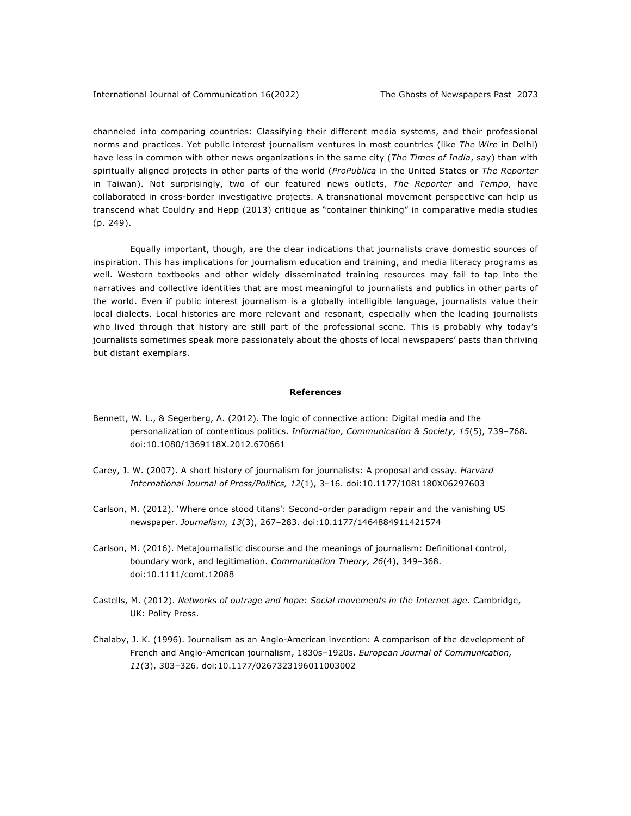channeled into comparing countries: Classifying their different media systems, and their professional norms and practices. Yet public interest journalism ventures in most countries (like *The Wire* in Delhi) have less in common with other news organizations in the same city (*The Times of India*, say) than with spiritually aligned projects in other parts of the world (*ProPublica* in the United States or *The Reporter*  in Taiwan). Not surprisingly, two of our featured news outlets, *The Reporter* and *Tempo*, have collaborated in cross-border investigative projects. A transnational movement perspective can help us transcend what Couldry and Hepp (2013) critique as "container thinking" in comparative media studies (p. 249).

Equally important, though, are the clear indications that journalists crave domestic sources of inspiration. This has implications for journalism education and training, and media literacy programs as well. Western textbooks and other widely disseminated training resources may fail to tap into the narratives and collective identities that are most meaningful to journalists and publics in other parts of the world. Even if public interest journalism is a globally intelligible language, journalists value their local dialects. Local histories are more relevant and resonant, especially when the leading journalists who lived through that history are still part of the professional scene. This is probably why today's journalists sometimes speak more passionately about the ghosts of local newspapers' pasts than thriving but distant exemplars.

### **References**

- Bennett, W. L., & Segerberg, A. (2012). The logic of connective action: Digital media and the personalization of contentious politics. *Information, Communication & Society, 15*(5), 739–768. doi:10.1080/1369118X.2012.670661
- Carey, J. W. (2007). A short history of journalism for journalists: A proposal and essay. *Harvard International Journal of Press/Politics, 12*(1), 3–16. doi:10.1177/1081180X06297603
- Carlson, M. (2012). 'Where once stood titans': Second-order paradigm repair and the vanishing US newspaper. *Journalism, 13*(3), 267–283. doi:10.1177/1464884911421574
- Carlson, M. (2016). Metajournalistic discourse and the meanings of journalism: Definitional control, boundary work, and legitimation. *Communication Theory, 26*(4), 349–368. doi:10.1111/comt.12088
- Castells, M. (2012). *Networks of outrage and hope: Social movements in the Internet age*. Cambridge, UK: Polity Press.
- Chalaby, J. K. (1996). Journalism as an Anglo-American invention: A comparison of the development of French and Anglo-American journalism, 1830s–1920s. *European Journal of Communication, 11*(3), 303–326. doi:10.1177/0267323196011003002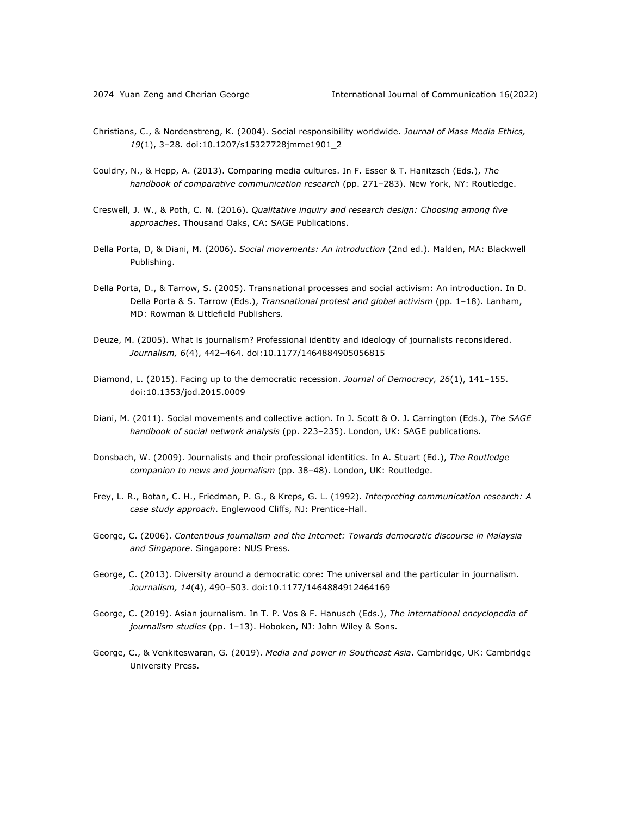- Christians, C., & Nordenstreng, K. (2004). Social responsibility worldwide. *Journal of Mass Media Ethics, 19*(1), 3–28. doi:10.1207/s15327728jmme1901\_2
- Couldry, N., & Hepp, A. (2013). Comparing media cultures. In F. Esser & T. Hanitzsch (Eds.), *The handbook of comparative communication research* (pp. 271–283). New York, NY: Routledge.
- Creswell, J. W., & Poth, C. N. (2016). *Qualitative inquiry and research design: Choosing among five approaches*. Thousand Oaks, CA: SAGE Publications.
- Della Porta, D, & Diani, M. (2006). *Social movements: An introduction* (2nd ed.). Malden, MA: Blackwell Publishing.
- Della Porta, D., & Tarrow, S. (2005). Transnational processes and social activism: An introduction. In D. Della Porta & S. Tarrow (Eds.), *Transnational protest and global activism* (pp. 1–18). Lanham, MD: Rowman & Littlefield Publishers.
- Deuze, M. (2005). What is journalism? Professional identity and ideology of journalists reconsidered. *Journalism, 6*(4), 442–464. doi:10.1177/1464884905056815
- Diamond, L. (2015). Facing up to the democratic recession. *Journal of Democracy, 26*(1), 141–155. doi:10.1353/jod.2015.0009
- Diani, M. (2011). Social movements and collective action. In J. Scott & O. J. Carrington (Eds.), *The SAGE handbook of social network analysis* (pp. 223–235). London, UK: SAGE publications.
- Donsbach, W. (2009). Journalists and their professional identities. In A. Stuart (Ed.), *The Routledge companion to news and journalism* (pp. 38–48). London, UK: Routledge.
- Frey, L. R., Botan, C. H., Friedman, P. G., & Kreps, G. L. (1992). *Interpreting communication research: A case study approach*. Englewood Cliffs, NJ: Prentice-Hall.
- George, C. (2006). *Contentious journalism and the Internet: Towards democratic discourse in Malaysia and Singapore*. Singapore: NUS Press.
- George, C. (2013). Diversity around a democratic core: The universal and the particular in journalism. *Journalism, 14*(4), 490–503. doi:10.1177/1464884912464169
- George, C. (2019). Asian journalism. In T. P. Vos & F. Hanusch (Eds.), *The international encyclopedia of journalism studies* (pp. 1–13). Hoboken, NJ: John Wiley & Sons.
- George, C., & Venkiteswaran, G. (2019). *Media and power in Southeast Asia*. Cambridge, UK: Cambridge University Press.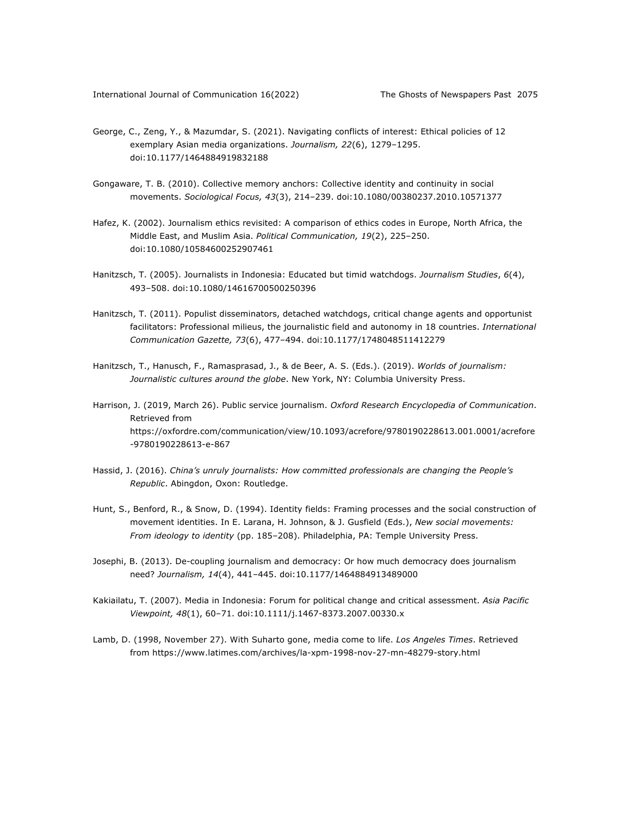- George, C., Zeng, Y., & Mazumdar, S. (2021). Navigating conflicts of interest: Ethical policies of 12 exemplary Asian media organizations. *Journalism, 22*(6), 1279–1295. doi:10.1177/1464884919832188
- Gongaware, T. B. (2010). Collective memory anchors: Collective identity and continuity in social movements. *Sociological Focus, 43*(3), 214–239. doi:10.1080/00380237.2010.10571377
- Hafez, K. (2002). Journalism ethics revisited: A comparison of ethics codes in Europe, North Africa, the Middle East, and Muslim Asia. *Political Communication, 19*(2), 225–250. doi:10.1080/10584600252907461
- Hanitzsch, T. (2005). Journalists in Indonesia: Educated but timid watchdogs. *Journalism Studies*, *6*(4), 493–508. doi:10.1080/14616700500250396
- Hanitzsch, T. (2011). Populist disseminators, detached watchdogs, critical change agents and opportunist facilitators: Professional milieus, the journalistic field and autonomy in 18 countries. *International Communication Gazette, 73*(6), 477–494. doi:10.1177/1748048511412279
- Hanitzsch, T., Hanusch, F., Ramasprasad, J., & de Beer, A. S. (Eds.). (2019). *Worlds of journalism: Journalistic cultures around the globe*. New York, NY: Columbia University Press.
- Harrison, J. (2019, March 26). Public service journalism. *Oxford Research Encyclopedia of Communication*. Retrieved from https://oxfordre.com/communication/view/10.1093/acrefore/9780190228613.001.0001/acrefore -9780190228613-e-867
- Hassid, J. (2016). *China's unruly journalists: How committed professionals are changing the People's Republic*. Abingdon, Oxon: Routledge.
- Hunt, S., Benford, R., & Snow, D. (1994). Identity fields: Framing processes and the social construction of movement identities. In E. Larana, H. Johnson, & J. Gusfield (Eds.), *New social movements: From ideology to identity* (pp. 185–208). Philadelphia, PA: Temple University Press.
- Josephi, B. (2013). De-coupling journalism and democracy: Or how much democracy does journalism need? *Journalism, 14*(4), 441–445. doi:10.1177/1464884913489000
- Kakiailatu, T. (2007). Media in Indonesia: Forum for political change and critical assessment. *Asia Pacific Viewpoint, 48*(1), 60–71. doi:10.1111/j.1467-8373.2007.00330.x
- Lamb, D. (1998, November 27). With Suharto gone, media come to life. *Los Angeles Times*. Retrieved from https://www.latimes.com/archives/la-xpm-1998-nov-27-mn-48279-story.html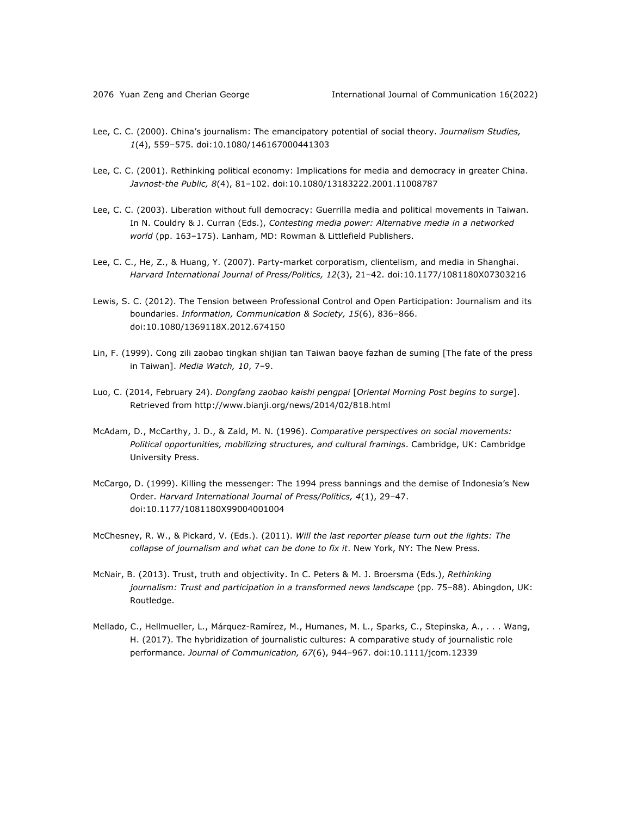- Lee, C. C. (2000). China's journalism: The emancipatory potential of social theory. *Journalism Studies, 1*(4), 559–575. doi:10.1080/146167000441303
- Lee, C. C. (2001). Rethinking political economy: Implications for media and democracy in greater China. *Javnost-the Public, 8*(4), 81–102. doi:10.1080/13183222.2001.11008787
- Lee, C. C. (2003). Liberation without full democracy: Guerrilla media and political movements in Taiwan. In N. Couldry & J. Curran (Eds.), *Contesting media power: Alternative media in a networked world* (pp. 163–175). Lanham, MD: Rowman & Littlefield Publishers.
- Lee, C. C., He, Z., & Huang, Y. (2007). Party-market corporatism, clientelism, and media in Shanghai. *Harvard International Journal of Press/Politics, 12*(3), 21–42. doi:10.1177/1081180X07303216
- Lewis, S. C. (2012). The Tension between Professional Control and Open Participation: Journalism and its boundaries. *Information, Communication & Society, 15*(6), 836–866. doi:10.1080/1369118X.2012.674150
- Lin, F. (1999). Cong zili zaobao tingkan shijian tan Taiwan baoye fazhan de suming [The fate of the press in Taiwan]. *Media Watch, 10*, 7–9.
- Luo, C. (2014, February 24). *Dongfang zaobao kaishi pengpai* [*Oriental Morning Post begins to surge*]. Retrieved from http://www.bianji.org/news/2014/02/818.html
- McAdam, D., McCarthy, J. D., & Zald, M. N. (1996). *Comparative perspectives on social movements: Political opportunities, mobilizing structures, and cultural framings*. Cambridge, UK: Cambridge University Press.
- McCargo, D. (1999). Killing the messenger: The 1994 press bannings and the demise of Indonesia's New Order. *Harvard International Journal of Press/Politics, 4*(1), 29–47. doi:10.1177/1081180X99004001004
- McChesney, R. W., & Pickard, V. (Eds.). (2011). *Will the last reporter please turn out the lights: The collapse of journalism and what can be done to fix it*. New York, NY: The New Press.
- McNair, B. (2013). Trust, truth and objectivity. In C. Peters & M. J. Broersma (Eds.), *Rethinking journalism: Trust and participation in a transformed news landscape* (pp. 75–88). Abingdon, UK: Routledge.
- Mellado, C., Hellmueller, L., Márquez-Ramírez, M., Humanes, M. L., Sparks, C., Stepinska, A., . . . Wang, H. (2017). The hybridization of journalistic cultures: A comparative study of journalistic role performance. *Journal of Communication, 67*(6), 944–967. doi:10.1111/jcom.12339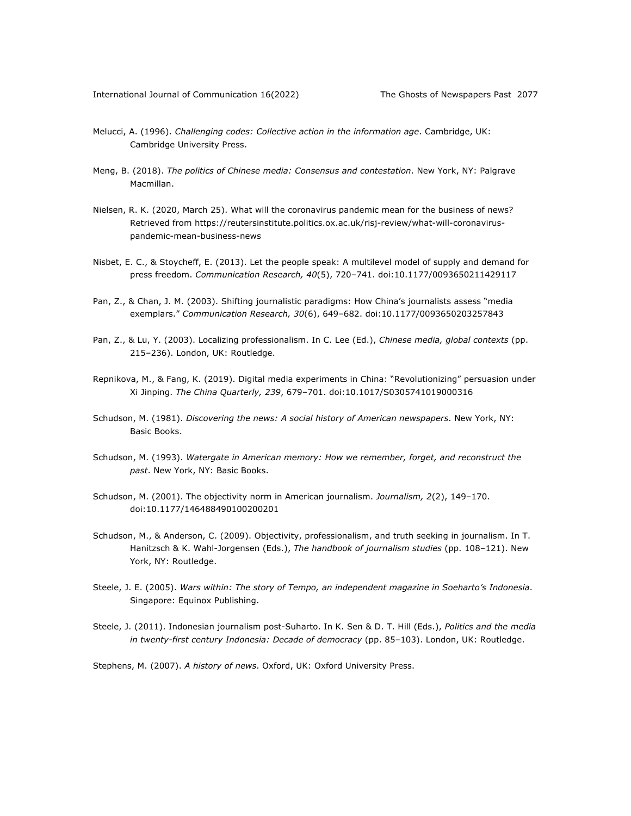- Melucci, A. (1996). *Challenging codes: Collective action in the information age*. Cambridge, UK: Cambridge University Press.
- Meng, B. (2018). *The politics of Chinese media: Consensus and contestation*. New York, NY: Palgrave Macmillan.
- Nielsen, R. K. (2020, March 25). What will the coronavirus pandemic mean for the business of news? Retrieved from https://reutersinstitute.politics.ox.ac.uk/risj-review/what-will-coronaviruspandemic-mean-business-news
- Nisbet, E. C., & Stoycheff, E. (2013). Let the people speak: A multilevel model of supply and demand for press freedom. *Communication Research, 40*(5), 720–741. doi:10.1177/0093650211429117
- Pan, Z., & Chan, J. M. (2003). Shifting journalistic paradigms: How China's journalists assess "media exemplars." *Communication Research, 30*(6), 649–682. doi:10.1177/0093650203257843
- Pan, Z., & Lu, Y. (2003). Localizing professionalism. In C. Lee (Ed.), *Chinese media, global contexts* (pp. 215–236). London, UK: Routledge.
- Repnikova, M., & Fang, K. (2019). Digital media experiments in China: "Revolutionizing" persuasion under Xi Jinping. *The China Quarterly, 239*, 679–701. doi:10.1017/S0305741019000316
- Schudson, M. (1981). *Discovering the news: A social history of American newspapers*. New York, NY: Basic Books.
- Schudson, M. (1993). *Watergate in American memory: How we remember, forget, and reconstruct the past*. New York, NY: Basic Books.
- Schudson, M. (2001). The objectivity norm in American journalism. *Journalism, 2*(2), 149–170. doi:10.1177/146488490100200201
- Schudson, M., & Anderson, C. (2009). Objectivity, professionalism, and truth seeking in journalism. In T. Hanitzsch & K. Wahl-Jorgensen (Eds.), *The handbook of journalism studies* (pp. 108–121). New York, NY: Routledge.
- Steele, J. E. (2005). *Wars within: The story of Tempo, an independent magazine in Soeharto's Indonesia*. Singapore: Equinox Publishing.
- Steele, J. (2011). Indonesian journalism post-Suharto. In K. Sen & D. T. Hill (Eds.), *Politics and the media in twenty-first century Indonesia: Decade of democracy* (pp. 85–103). London, UK: Routledge.
- Stephens, M. (2007). *A history of news*. Oxford, UK: Oxford University Press.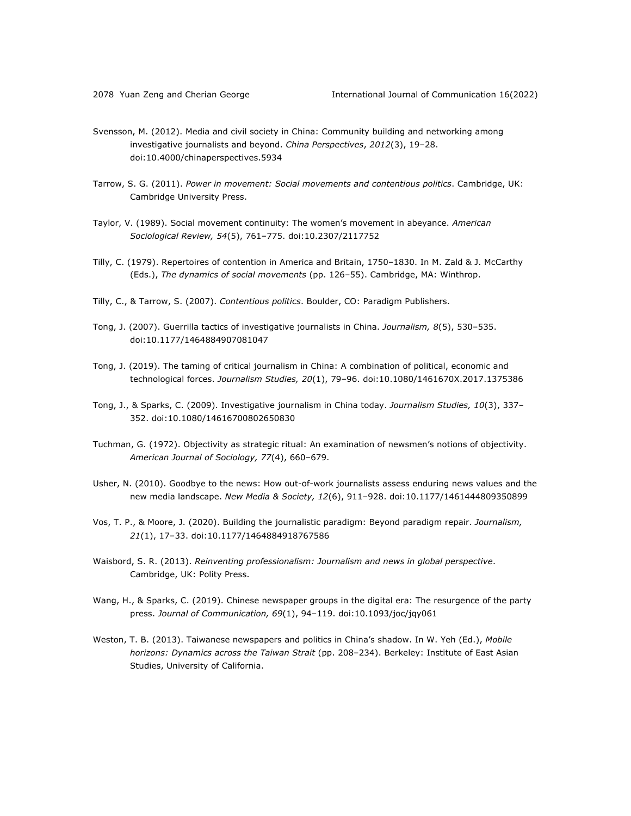- Svensson, M. (2012). Media and civil society in China: Community building and networking among investigative journalists and beyond. *China Perspectives*, *2012*(3), 19–28. doi:10.4000/chinaperspectives.5934
- Tarrow, S. G. (2011). *Power in movement: Social movements and contentious politics*. Cambridge, UK: Cambridge University Press.
- Taylor, V. (1989). Social movement continuity: The women's movement in abeyance. *American Sociological Review, 54*(5), 761–775. doi:10.2307/2117752
- Tilly, C. (1979). Repertoires of contention in America and Britain, 1750–1830. In M. Zald & J. McCarthy (Eds.), *The dynamics of social movements* (pp. 126–55). Cambridge, MA: Winthrop.
- Tilly, C., & Tarrow, S. (2007). *Contentious politics*. Boulder, CO: Paradigm Publishers.
- Tong, J. (2007). Guerrilla tactics of investigative journalists in China. *Journalism, 8*(5), 530–535. doi:10.1177/1464884907081047
- Tong, J. (2019). The taming of critical journalism in China: A combination of political, economic and technological forces. *Journalism Studies, 20*(1), 79–96. doi:10.1080/1461670X.2017.1375386
- Tong, J., & Sparks, C. (2009). Investigative journalism in China today. *Journalism Studies, 10*(3), 337– 352. doi:10.1080/14616700802650830
- Tuchman, G. (1972). Objectivity as strategic ritual: An examination of newsmen's notions of objectivity. *American Journal of Sociology, 77*(4), 660–679.
- Usher, N. (2010). Goodbye to the news: How out-of-work journalists assess enduring news values and the new media landscape. *New Media & Society, 12*(6), 911–928. doi:10.1177/1461444809350899
- Vos, T. P., & Moore, J. (2020). Building the journalistic paradigm: Beyond paradigm repair. *Journalism, 21*(1), 17–33. doi:10.1177/1464884918767586
- Waisbord, S. R. (2013). *Reinventing professionalism: Journalism and news in global perspective*. Cambridge, UK: Polity Press.
- Wang, H., & Sparks, C. (2019). Chinese newspaper groups in the digital era: The resurgence of the party press. *Journal of Communication, 69*(1), 94–119. doi:10.1093/joc/jqy061
- Weston, T. B. (2013). Taiwanese newspapers and politics in China's shadow. In W. Yeh (Ed.), *Mobile horizons: Dynamics across the Taiwan Strait* (pp. 208–234). Berkeley: Institute of East Asian Studies, University of California.